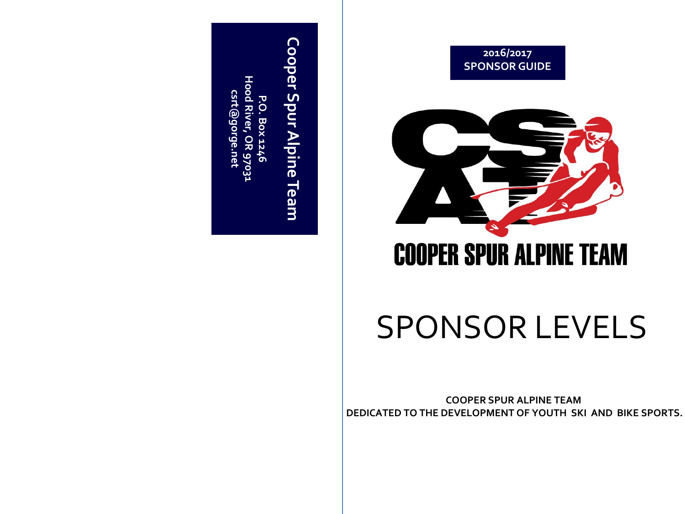



# **COOPER SPUR ALPINE TEAM**

# SPONSOR LEVELS

**COOPER SPUR ALPINE TEAM DEDICATED TO THE DEVELOPMENT OF YOUTH SKI AND BIKE SPORTS.**

# Cooper Spur Alpine Team **Cooper Spur Alpine Team**

Hood River, OR 9703: **Hood River, OR 97031** csrt@gorge.net **csrt@gorge.net**P.O **P.O. Box 1246 Box 1246**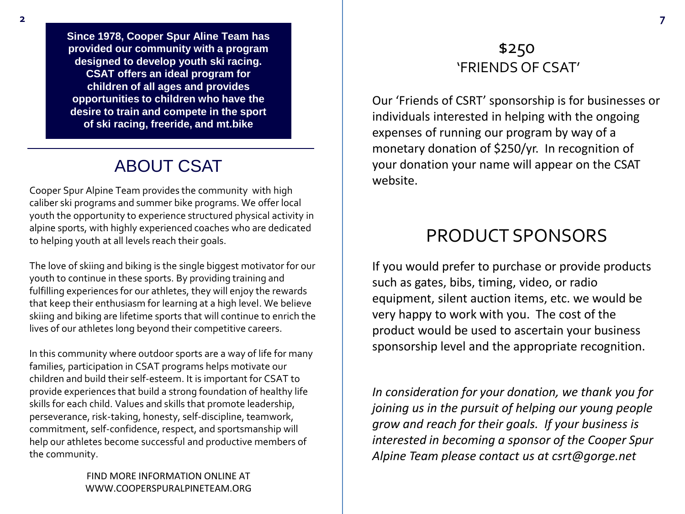**Since 1978, Cooper Spur Aline Team has provided our community with a program designed to develop youth ski racing. CSAT offers an ideal program for children of all ages and provides opportunities to children who have the desire to train and compete in the sport of ski racing, freeride, and mt.bike**

## ABOUT CSAT

Cooper Spur Alpine Team provides the community with high caliber ski programs and summer bike programs. We offer local youth the opportunity to experience structured physical activity in alpine sports, with highly experienced coaches who are dedicated to helping youth at all levels reach their goals.

The love of skiing and biking is the single biggest motivator for our youth to continue in these sports. By providing training and fulfilling experiences for our athletes, they will enjoy the rewards that keep their enthusiasm for learning at a high level. We believe skiing and biking are lifetime sports that will continue to enrich the lives of our athletes long beyond their competitive careers.

In this community where outdoor sports are a way of life for many families, participation in CSAT programs helps motivate our children and build their self-esteem. It is important for CSAT to provide experiences that build a strong foundation of healthy life skills for each child. Values and skills that promote leadership, perseverance, risk-taking, honesty, self-discipline, teamwork, commitment, self-confidence, respect, and sportsmanship will help our athletes become successful and productive members of the community.

> FIND MORE INFORMATION ONLINE AT WWW.COOPERSPURALPINETEAM.ORG

#### \$250 'FRIENDS OF CSAT'

Our 'Friends of CSRT' sponsorship is for businesses or individuals interested in helping with the ongoing expenses of running our program by way of a monetary donation of \$250/yr. In recognition of your donation your name will appear on the CSAT website.

# PRODUCT SPONSORS

If you would prefer to purchase or provide products such as gates, bibs, timing, video, or radio equipment, silent auction items, etc. we would be very happy to work with you. The cost of the product would be used to ascertain your business sponsorship level and the appropriate recognition.

*In consideration for your donation, we thank you for joining us in the pursuit of helping our young people grow and reach for their goals. If your business is interested in becoming a sponsor of the Cooper Spur Alpine Team please contact us at csrt@gorge.net*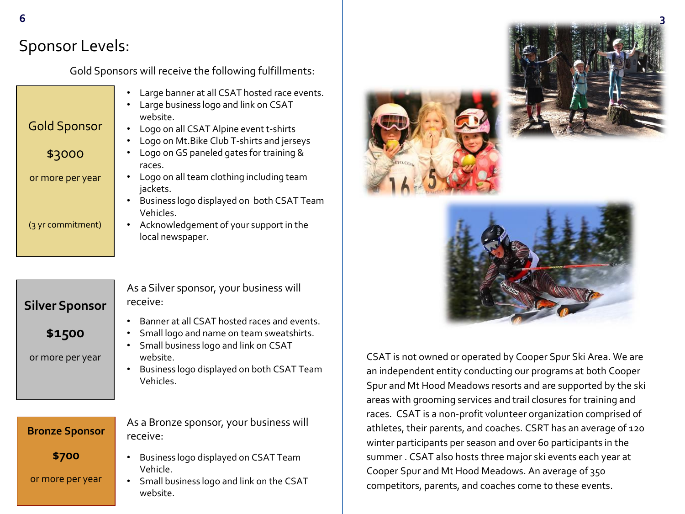# Sponsor Levels:

Gold Sponsors will receive the following fulfillments:

|                     | • Large banner at all CSAT hosted race events.<br>• Large business logo and link on CSAT<br>website. |
|---------------------|------------------------------------------------------------------------------------------------------|
| <b>Gold Sponsor</b> | • Logo on all CSAT Alpine event t-shirts                                                             |
|                     | Logo on Mt. Bike Club T-shirts and jerseys                                                           |
| \$3000              | Logo on GS paneled gates for training &                                                              |
|                     | races.                                                                                               |
| or more per year    | • Logo on all team clothing including team<br>jackets.                                               |
|                     | Business logo displayed on both CSAT Team<br>$\bullet$                                               |
|                     | Vehicles.                                                                                            |
| (3 yr commitment)   | • Acknowledgement of your support in the<br>local newspaper.                                         |
|                     |                                                                                                      |

| <b>Silver Sponsor</b> | r١ |
|-----------------------|----|
| \$1500                |    |
| or more per year      |    |
|                       |    |
| <b>Bronze Sponsor</b> | r١ |
|                       |    |

As a Silver sponsor, your business will receive:

- Banner at all CSAT hosted races and events.
- Small logo and name on team sweatshirts.
- Small business logo and link on CSAT website.
- Business logo displayed on both CSAT Team Vehicles.

**\$700**

or more per year

- As a Bronze sponsor, your business will receive:
- Business logo displayed on CSAT Team Vehicle.
- Small business logo and link on the CSAT website.







CSAT is not owned or operated by Cooper Spur Ski Area. We are an independent entity conducting our programs at both Cooper Spur and Mt Hood Meadows resorts and are supported by the ski areas with grooming services and trail closures for training and races. CSAT is a non-profit volunteer organization comprised of athletes, their parents, and coaches. CSRT has an average of 120 winter participants per season and over 60 participants in the summer . CSAT also hosts three major ski events each year at Cooper Spur and Mt Hood Meadows. An average of 350 competitors, parents, and coaches come to these events.